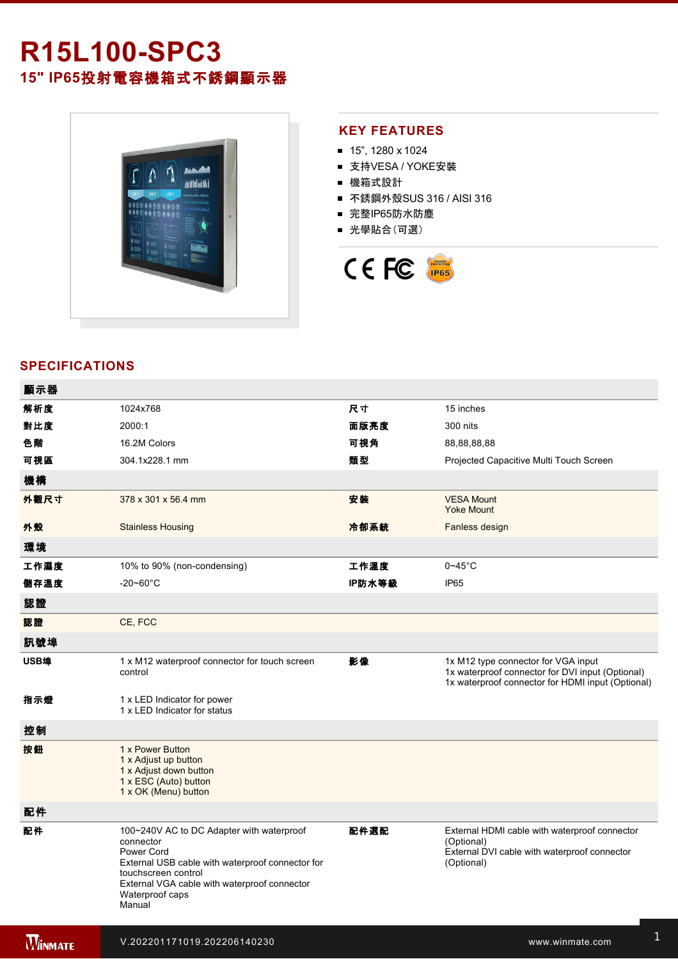# **R15L100-SPC3 15" IP65**投射電容機箱式不銹鋼顯示器



### **KEY FEATURES**

- 15", 1280 x 1024
- 支持VESA / YOKE安裝
- 機箱式設計
- 不銹鋼外殼SUS 316 / AISI 316
- 完整IP65防水防塵
- 光學貼合(可選)



## **SPECIFICATIONS**

電源規格 12V DC (M12 type)

| 顯示器            |                                                                                                                                                                                                                              |        |                                                                                                                                              |
|----------------|------------------------------------------------------------------------------------------------------------------------------------------------------------------------------------------------------------------------------|--------|----------------------------------------------------------------------------------------------------------------------------------------------|
| 解析度            | 1024x768                                                                                                                                                                                                                     | 尺寸     | 15 inches                                                                                                                                    |
| 對比度            | 2000:1                                                                                                                                                                                                                       | 面版亮度   | 300 nits                                                                                                                                     |
| 色階             | 16.2M Colors                                                                                                                                                                                                                 | 可視角    | 88,88,88,88                                                                                                                                  |
| 可視區            | 304.1x228.1 mm                                                                                                                                                                                                               | 類型     | Projected Capacitive Multi Touch Screen                                                                                                      |
| 機構             |                                                                                                                                                                                                                              |        |                                                                                                                                              |
| 外觀尺寸           | 378 x 301 x 56.4 mm                                                                                                                                                                                                          | 安装     | <b>VESA Mount</b><br><b>Yoke Mount</b>                                                                                                       |
| 外殼             | <b>Stainless Housing</b>                                                                                                                                                                                                     | 冷卻系統   | Fanless design                                                                                                                               |
| 環境             |                                                                                                                                                                                                                              |        |                                                                                                                                              |
| 工作濕度           | 10% to 90% (non-condensing)                                                                                                                                                                                                  | 工作溫度   | $0 - 45$ °C                                                                                                                                  |
| 儲存溫度           | $-20 - 60^{\circ}$ C                                                                                                                                                                                                         | IP防水等級 | <b>IP65</b>                                                                                                                                  |
| 認證             |                                                                                                                                                                                                                              |        |                                                                                                                                              |
| 認證             | CE, FCC                                                                                                                                                                                                                      |        |                                                                                                                                              |
| 訊號埠            |                                                                                                                                                                                                                              |        |                                                                                                                                              |
| USB埠           | 1 x M12 waterproof connector for touch screen<br>control                                                                                                                                                                     | 影像     | 1x M12 type connector for VGA input<br>1x waterproof connector for DVI input (Optional)<br>1x waterproof connector for HDMI input (Optional) |
| 指示燈            | 1 x LED Indicator for power<br>1 x LED Indicator for status                                                                                                                                                                  |        |                                                                                                                                              |
| 控制             |                                                                                                                                                                                                                              |        |                                                                                                                                              |
| 按鈕             | 1 x Power Button<br>1 x Adjust up button<br>1 x Adjust down button<br>1 x ESC (Auto) button<br>1 x OK (Menu) button                                                                                                          |        |                                                                                                                                              |
| 配件             |                                                                                                                                                                                                                              |        |                                                                                                                                              |
| 配件             | 100~240V AC to DC Adapter with waterproof<br>connector<br>Power Cord<br>External USB cable with waterproof connector for<br>touchscreen control<br>External VGA cable with waterproof connector<br>Waterproof caps<br>Manual | 配件選配   | External HDMI cable with waterproof connector<br>(Optional)<br>External DVI cable with waterproof connector<br>(Optional)                    |
| <b>WINNATE</b> | V.202201171019.202206140230                                                                                                                                                                                                  |        | www.winmate.com                                                                                                                              |